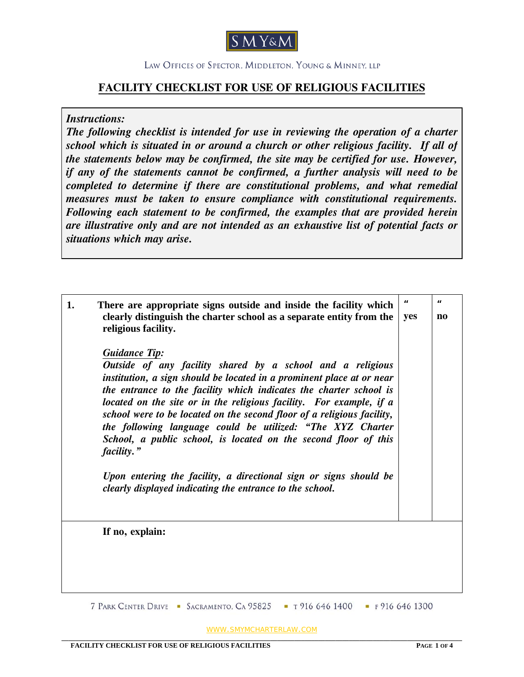

## **FACILITY CHECKLIST FOR USE OF RELIGIOUS FACILITIES**

*Instructions:* 

*The following checklist is intended for use in reviewing the operation of a charter school which is situated in or around a church or other religious facility. If all of the statements below may be confirmed, the site may be certified for use. However, if any of the statements cannot be confirmed, a further analysis will need to be completed to determine if there are constitutional problems, and what remedial measures must be taken to ensure compliance with constitutional requirements. Following each statement to be confirmed, the examples that are provided herein are illustrative only and are not intended as an exhaustive list of potential facts or situations which may arise.*

| 1. | There are appropriate signs outside and inside the facility which<br>clearly distinguish the charter school as a separate entity from the<br>religious facility.<br><b>Guidance Tip:</b><br>Outside of any facility shared by a school and a religious<br>institution, a sign should be located in a prominent place at or near<br>the entrance to the facility which indicates the charter school is<br>located on the site or in the religious facility. For example, if a<br>school were to be located on the second floor of a religious facility,<br>the following language could be utilized: "The XYZ Charter<br>School, a public school, is located on the second floor of this<br>facility."<br>Upon entering the facility, a directional sign or signs should be<br>clearly displayed indicating the entrance to the school. | $\boldsymbol{\mu}$<br>yes | П<br>$\mathbf{n}\mathbf{o}$ |
|----|----------------------------------------------------------------------------------------------------------------------------------------------------------------------------------------------------------------------------------------------------------------------------------------------------------------------------------------------------------------------------------------------------------------------------------------------------------------------------------------------------------------------------------------------------------------------------------------------------------------------------------------------------------------------------------------------------------------------------------------------------------------------------------------------------------------------------------------|---------------------------|-----------------------------|
|    | If no, explain:                                                                                                                                                                                                                                                                                                                                                                                                                                                                                                                                                                                                                                                                                                                                                                                                                        |                           |                             |

WWW.SMYMCHARTERLAW.COM **\_\_\_\_\_\_\_\_\_\_\_\_\_\_\_\_\_\_\_\_\_\_\_\_\_\_\_\_\_\_\_\_\_\_\_\_\_\_\_\_\_\_\_\_\_\_\_\_\_\_\_\_\_\_\_\_\_\_\_\_\_\_\_\_\_\_\_\_\_\_\_\_\_\_\_\_\_\_\_\_\_\_\_\_\_\_\_\_\_\_\_\_\_\_\_\_\_\_\_\_\_\_\_\_\_\_\_\_\_\_\_\_\_\_\_\_\_**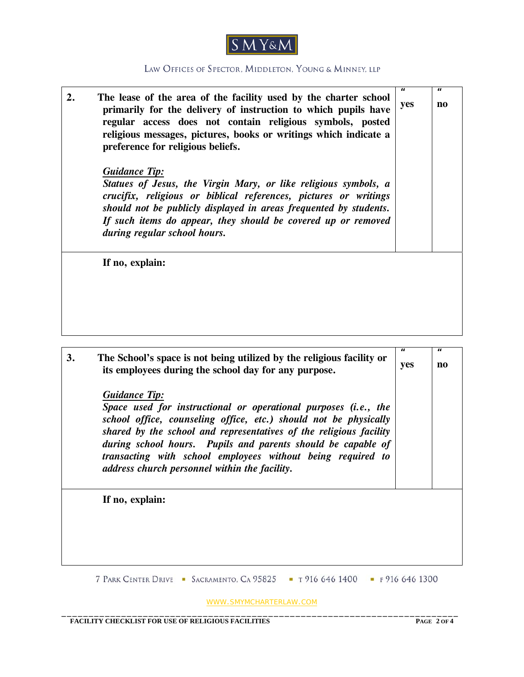

| 2. | The lease of the area of the facility used by the charter school<br>primarily for the delivery of instruction to which pupils have<br>regular access does not contain religious symbols, posted<br>religious messages, pictures, books or writings which indicate a<br>preference for religious beliefs.                                 | Ħ<br>yes                         | Ħ<br>no                  |
|----|------------------------------------------------------------------------------------------------------------------------------------------------------------------------------------------------------------------------------------------------------------------------------------------------------------------------------------------|----------------------------------|--------------------------|
|    | <b>Guidance Tip:</b><br>Statues of Jesus, the Virgin Mary, or like religious symbols, a<br>crucifix, religious or biblical references, pictures or writings<br>should not be publicly displayed in areas frequented by students.<br>If such items do appear, they should be covered up or removed<br>during regular school hours.        |                                  |                          |
|    | If no, explain:                                                                                                                                                                                                                                                                                                                          |                                  |                          |
| 3. | The School's space is not being utilized by the religious facility or<br>its employees during the school day for any purpose.<br><b>Guidance Tip:</b>                                                                                                                                                                                    | $\boldsymbol{\mathit{u}}$<br>yes | $\boldsymbol{\mu}$<br>no |
|    | Space used for instructional or operational purposes (i.e., the<br>school office, counseling office, etc.) should not be physically<br>shared by the school and representatives of the religious facility<br>during school hours. Pupils and parents should be capable of<br>transacting with school employees without being required to |                                  |                          |

**If no, explain:** 

7 PARK CENTER DRIVE • SACRAMENTO, CA 95825 • T 916 646 1400 • F 916 646 1300

WWW.SMYMCHARTERLAW.COM \_\_\_\_\_\_\_\_\_\_\_\_\_\_\_\_\_\_\_\_\_\_\_\_\_\_\_\_\_\_\_\_\_\_\_\_\_\_\_\_\_\_\_\_\_\_\_\_\_\_\_\_\_\_\_\_\_\_\_\_\_\_\_\_\_\_\_\_\_\_\_\_\_

*address church personnel within the facility.*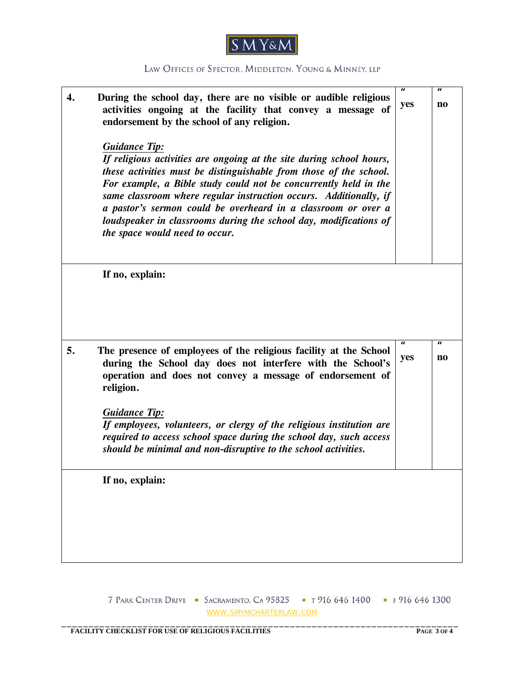

| 4. | During the school day, there are no visible or audible religious<br>activities ongoing at the facility that convey a message of<br>endorsement by the school of any religion.<br><b>Guidance Tip:</b><br>If religious activities are ongoing at the site during school hours,<br>these activities must be distinguishable from those of the school.<br>For example, a Bible study could not be concurrently held in the<br>same classroom where regular instruction occurs. Additionally, if<br>a pastor's sermon could be overheard in a classroom or over a<br>loudspeaker in classrooms during the school day, modifications of<br>the space would need to occur. | П<br>yes                  | Ш<br>no                  |
|----|----------------------------------------------------------------------------------------------------------------------------------------------------------------------------------------------------------------------------------------------------------------------------------------------------------------------------------------------------------------------------------------------------------------------------------------------------------------------------------------------------------------------------------------------------------------------------------------------------------------------------------------------------------------------|---------------------------|--------------------------|
|    | If no, explain:                                                                                                                                                                                                                                                                                                                                                                                                                                                                                                                                                                                                                                                      |                           |                          |
| 5. | The presence of employees of the religious facility at the School<br>during the School day does not interfere with the School's<br>operation and does not convey a message of endorsement of<br>religion.                                                                                                                                                                                                                                                                                                                                                                                                                                                            | $\boldsymbol{\mu}$<br>yes | $\boldsymbol{\mu}$<br>no |
|    | <b>Guidance Tip:</b><br>If employees, volunteers, or clergy of the religious institution are<br>required to access school space during the school day, such access<br>should be minimal and non-disruptive to the school activities.                                                                                                                                                                                                                                                                                                                                                                                                                                 |                           |                          |
|    | If no, explain:                                                                                                                                                                                                                                                                                                                                                                                                                                                                                                                                                                                                                                                      |                           |                          |

7 PARK CENTER DRIVE • SACRAMENTO, CA 95825 • T 916 646 1400 • F 916 646 1300 WWW.SMYMCHARTERLAW.COM